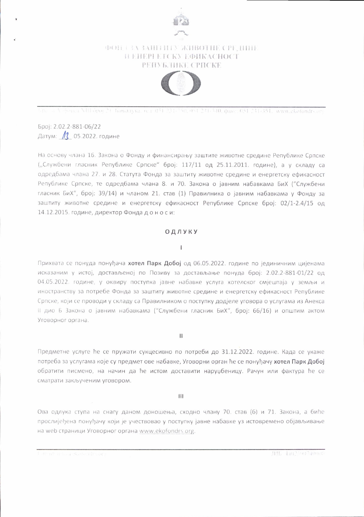

# **ФОН (3A ЗАШТИТУ ЖИВОТНЕ СРЕДИНЕ** ПЕНЕРГЕТСКУ ЕФИКАСНОСТ РЕПУБЛИКЕ СРПСКЕ



.<br>Крата А. фонки УШ брог. Н. Баналука, тел: 051-231-350, 051-231-340, факс: 051-231-351, имм.ekofondrs.or

Број: 2.02.2-881-06/22 Датум: 13 05.2022. године

На основу члана 16. Закона о Фонду и финансирању заштите животне средине Републике Српске ("Службени гласник Републике Српске" број: 117/11 од 25.11.2011. године), а у складу са одредбама члана 27. и 28. Статута Фонда за заштиту животне средине и енергетску ефикасност Републике Српске, те одредбама члана 8. и 70. Закона о јавним набавкама БиХ ("Службени гласник БиХ", број: 39/14) и чланом 21. став (1) Правилника о јавним набавкама у Фонду за заштиту животне средине и енергетску ефикасност Републике Српске број: 02/1-2.4/15 од 14.12.2015. године, директор Фонда доноси:

## ОДЛУКУ

#### $\mathbf{I}$

Прихвата се понуда понуђача хотел Парк Добој од 06.05.2022. године по јединичним цијенама исказаним у истој, достављеној по Позиву за достављање понуда број: 2.02.2-881-01/22 од 04.05.2022. године, у оквиру поступка јавне набавке услуга хотелског смјештаја у земљи и иностранству за потребе Фонда за заштиту животне средине и енергетску ефикасност Републике Српске, који се проводи у складу са Правилником о поступку додјеле уговора о услугама из Анекса II дио Б Закона о јавним набавкама ("Службени гласник БиХ", број: 66/16) и општим актом Уговорног органа.

 $\mathbf{H}$ 

Предметне услуге ће се пружати сукцесивно по потреби до 31.12.2022. године. Када се укаже потреба за услугама које су предмет ове набавке, Уговорни орган ће се понуђачу хотел Парк Добој обратити писмено, на начин да ће истом доставити наруџбеницу. Рачун или фактура ће се сматрати закљученим уговором.

Ш

Ова одлука ступа на снагу даном доношења, сходно члану 70. став (6) и 71. Закона, а биће прослијеђена понуђачу који је учествовао у поступку јавне набавке уз истовремено објављивање на web страници Уговорног органа www.ekofondrs.org.